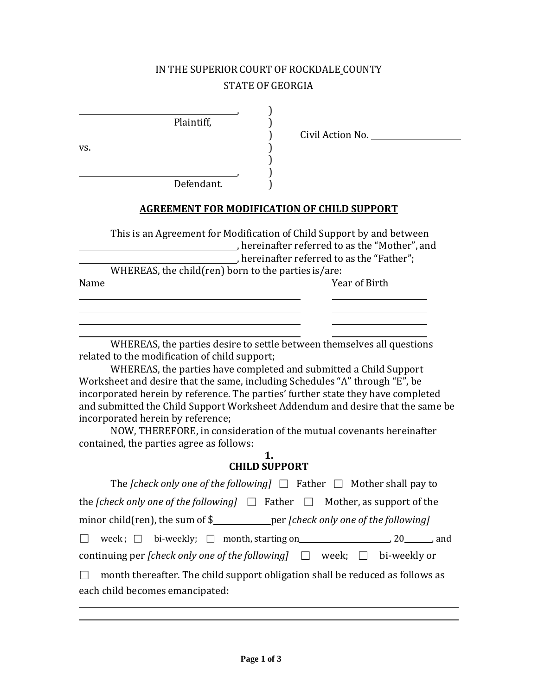## IN THE SUPERIOR COURT OF ROCKDALE COUNTY STATE OF GEORGIA

, )

, )

| Plaintiff, |  |
|------------|--|

 $\mathsf{v}\mathsf{s}.$ 

Defendant.

) Civil Action No.

### **AGREEMENT FOR MODIFICATION OF CHILD SUPPORT**

)

|      | This is an Agreement for Modification of Child Support by and between |  |
|------|-----------------------------------------------------------------------|--|
|      | , hereinafter referred to as the "Mother", and                        |  |
|      | , hereinafter referred to as the "Father";                            |  |
|      | WHEREAS, the child (ren) born to the parties is/are:                  |  |
| Name | Year of Birth                                                         |  |
|      |                                                                       |  |
|      |                                                                       |  |
|      |                                                                       |  |

WHEREAS, the parties desire to settle between themselves all questions related to the modification of child support;

WHEREAS, the parties have completed and submitted a Child Support Worksheet and desire that the same, including Schedules "A" through "E", be incorporated herein by reference. The parties' further state they have completed and submitted the Child Support Worksheet Addendum and desire that the same be incorporated herein by reference;

NOW, THEREFORE, in consideration of the mutual covenants hereinafter contained, the parties agree as follows:

#### **1. CHILD SUPPORT**

| The <i>[check only one of the following]</i> $\Box$ Father $\Box$ Mother shall pay to       |
|---------------------------------------------------------------------------------------------|
| the <i>[check only one of the following]</i> $\Box$ Father $\Box$ Mother, as support of the |
| minor child(ren), the sum of \$_____________per [check only one of the following]           |
| □ week; $□$ bi-weekly; $□$ month, starting on 20 $20$ and                                   |
| continuing per <i>[check only one of the following]</i> $\Box$ week; $\Box$ bi-weekly or    |
| month thereafter. The child support obligation shall be reduced as follows as<br>$\Box$     |
| each child becomes emancipated:                                                             |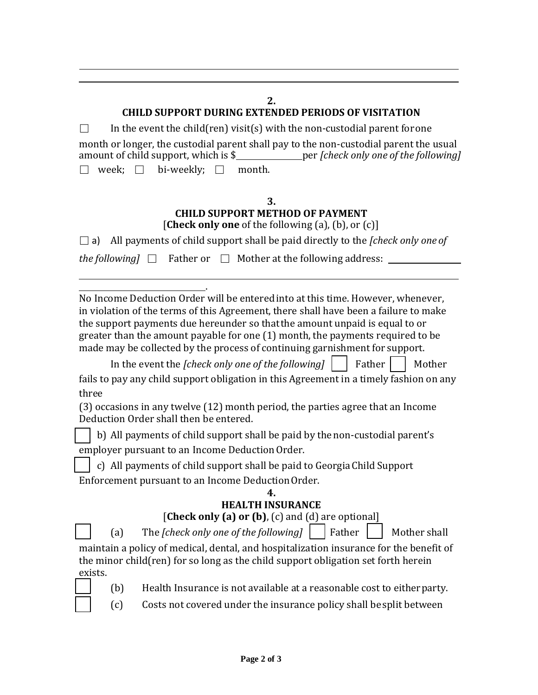### **2.**

## **CHILD SUPPORT DURING EXTENDED PERIODS OF VISITATION**

 $\Box$  In the event the child(ren) visit(s) with the non-custodial parent for one month or longer, the custodial parent shall pay to the non-custodial parent the usual amount of child support, which is \$ per *[check only one of the following]*  □ week; □ bi-weekly; □ month.

### **3. CHILD SUPPORT METHOD OF PAYMENT** [**Check only one** of the following (a), (b), or (c)]

 $\Box$  a) All payments of child support shall be paid directly to the *[check only one of* 

*the following*  $\Box$  Father or  $\Box$  Mother at the following address:  $\Box$ 

. No Income Deduction Order will be enteredinto at this time. However, whenever, in violation of the terms of this Agreement, there shall have been a failure to make the support payments due hereunder so thatthe amount unpaid is equal to or greater than the amount payable for one (1) month, the payments required to be made may be collected by the process of continuing garnishment for support.

In the event the *[check only one of the following]*  $\vert \cdot \vert$  Father  $\vert \cdot \vert$  Mother

fails to pay any child support obligation in this Agreement in a timely fashion on any three

(3) occasions in any twelve (12) month period, the parties agree that an Income Deduction Order shall then be entered.

□ b) All payments of child support shall be paid by the non-custodial parent's employer pursuant to an Income DeductionOrder.

□ c) All payments of child support shall be paid to GeorgiaChild Support Enforcement pursuant to an Income DeductionOrder.

#### **4. HEALTH INSURANCE**

# [**Check only (a) or (b)**, (c) and (d) are optional]

□ (a) The *[check only one of the following]* □ Father □ Mother shall

maintain a policy of medical, dental, and hospitalization insurance for the benefit of the minor child(ren) for so long as the child support obligation set forth herein exists.



- □ (b) Health Insurance is not available at a reasonable cost to eitherparty.
- □ (c) Costs not covered under the insurance policy shall besplit between